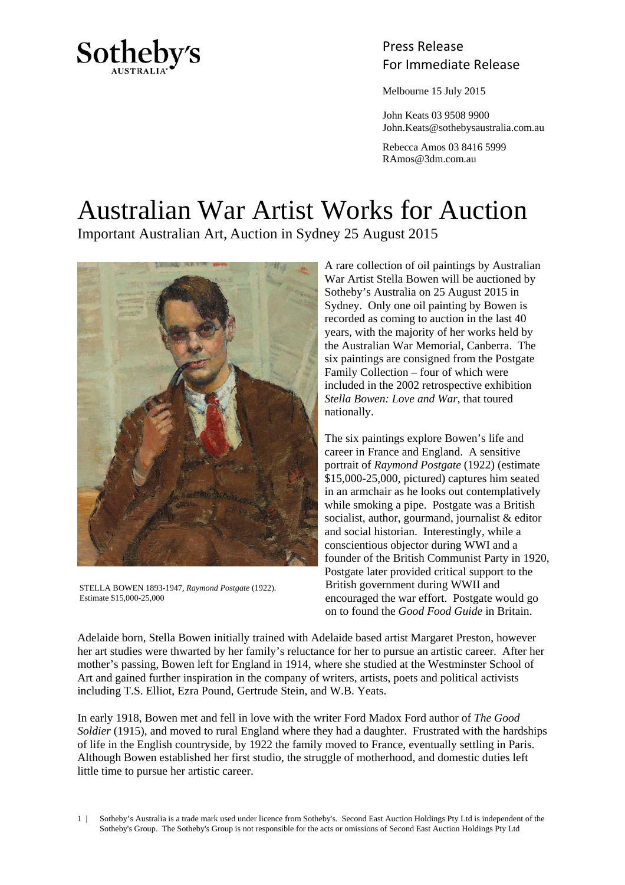

## Press Release Sotheby's<br>For Immediate Release

Melbourne 15 July 2015

 John Keats 03 9508 9900 John.Keats@sothebysaustralia.com.au

 Rebecca Amos 03 8416 5999 RAmos@3dm.com.au

## Australian War Artist Works for Auction

Important Australian Art, Auction in Sydney 25 August 2015



STELLA BOWEN 1893-1947, *Raymond Postgate* (1922). Estimate \$15,000-25,000

A rare collection of oil paintings by Australian War Artist Stella Bowen will be auctioned by Sotheby's Australia on 25 August 2015 in Sydney. Only one oil painting by Bowen is recorded as coming to auction in the last 40 years, with the majority of her works held by the Australian War Memorial, Canberra. The six paintings are consigned from the Postgate Family Collection – four of which were included in the 2002 retrospective exhibition *Stella Bowen: Love and War*, that toured nationally.

The six paintings explore Bowen's life and career in France and England. A sensitive portrait of *Raymond Postgate* (1922) (estimate \$15,000-25,000, pictured) captures him seated in an armchair as he looks out contemplatively while smoking a pipe. Postgate was a British socialist, author, gourmand, journalist & editor and social historian. Interestingly, while a conscientious objector during WWI and a founder of the British Communist Party in 1920, Postgate later provided critical support to the British government during WWII and encouraged the war effort. Postgate would go on to found the *Good Food Guide* in Britain.

Adelaide born, Stella Bowen initially trained with Adelaide based artist Margaret Preston, however her art studies were thwarted by her family's reluctance for her to pursue an artistic career. After her mother's passing, Bowen left for England in 1914, where she studied at the Westminster School of Art and gained further inspiration in the company of writers, artists, poets and political activists including T.S. Elliot, Ezra Pound, Gertrude Stein, and W.B. Yeats.

In early 1918, Bowen met and fell in love with the writer Ford Madox Ford author of *The Good Soldier* (1915), and moved to rural England where they had a daughter. Frustrated with the hardships of life in the English countryside, by 1922 the family moved to France, eventually settling in Paris. Although Bowen established her first studio, the struggle of motherhood, and domestic duties left little time to pursue her artistic career.

1 | Sotheby's Australia is a trade mark used under licence from Sotheby's. Second East Auction Holdings Pty Ltd is independent of the Sotheby's Group. The Sotheby's Group is not responsible for the acts or omissions of Second East Auction Holdings Pty Ltd